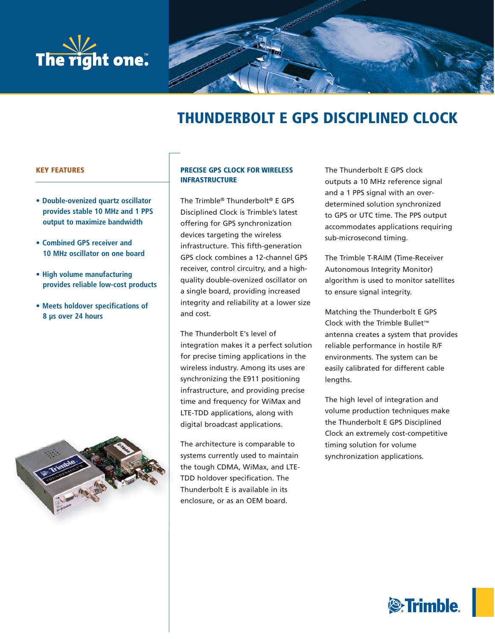



# **THUNDERBOLT E GPS DISCIPLINED CLOCK**

# **KEY FEATURES**

- **Double-ovenized quartz oscillator provides stable 10 MHz and 1 PPS output to maximize bandwidth**
- **Combined GPS receiver and 10 MHz oscillator on one board**
- **High volume manufacturing provides reliable low-cost products**
- **Meets holdover specifications of 8 μs over 24 hours**



# **PRECISE GPS CLOCK FOR WIRELESS INFRASTRUCTURE**

The Trimble® Thunderbolt® E GPS Disciplined Clock is Trimble's latest offering for GPS synchronization devices targeting the wireless infrastructure. This fifth-generation GPS clock combines a 12-channel GPS receiver, control circuitry, and a highquality double-ovenized oscillator on a single board, providing increased integrity and reliability at a lower size and cost.

The Thunderbolt E's level of integration makes it a perfect solution for precise timing applications in the wireless industry. Among its uses are synchronizing the E911 positioning infrastructure, and providing precise time and frequency for WiMax and LTE-TDD applications, along with digital broadcast applications.

The architecture is comparable to systems currently used to maintain the tough CDMA, WiMax, and LTE-TDD holdover specification. The Thunderbolt E is available in its enclosure, or as an OEM board.

The Thunderbolt E GPS clock outputs a 10 MHz reference signal and a 1 PPS signal with an overdetermined solution synchronized to GPS or UTC time. The PPS output accommodates applications requiring sub-microsecond timing.

The Trimble T-RAIM (Time-Receiver Autonomous Integrity Monitor) algorithm is used to monitor satellites to ensure signal integrity.

Matching the Thunderbolt E GPS Clock with the Trimble Bullet™ antenna creates a system that provides reliable performance in hostile R/F environments. The system can be easily calibrated for different cable lengths.

The high level of integration and volume production techniques make the Thunderbolt E GPS Disciplined Clock an extremely cost-competitive timing solution for volume synchronization applications.